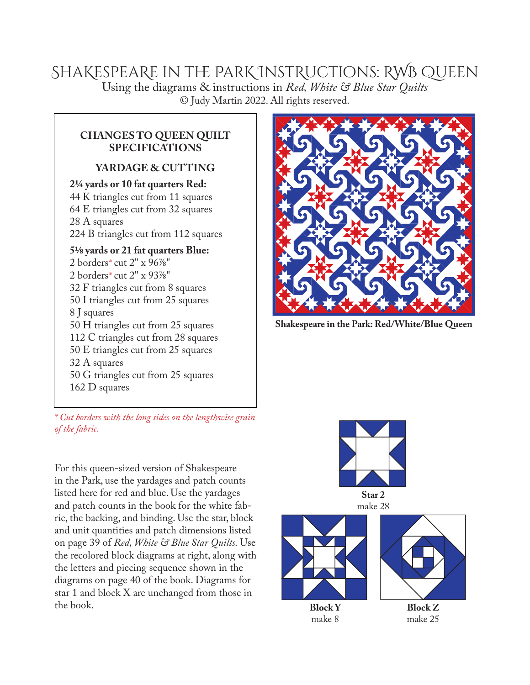## ShaKespeaRe in the ParK InstRuctions: RWB Queen Using the diagrams & instructions in *Red, White & Blue Star Quilts* © Judy Martin 2022. All rights reserved.

## **CHANGES TO QUEEN QUILT SPECIFICATIONS**

## **YARDAGE & CUTTING**

**2¼ yards or 10 fat quarters Red:** 44 K triangles cut from 11 squares 64 E triangles cut from 32 squares 28 A squares 224 B triangles cut from 112 squares

**5⅛ yards or 21 fat quarters Blue:** 2 borders*\** cut 2" x 96⅞" 2 borders*\** cut 2" x 93⅞" 32 F triangles cut from 8 squares 50 I triangles cut from 25 squares 8 J squares 50 H triangles cut from 25 squares 112 C triangles cut from 28 squares 50 E triangles cut from 25 squares 32 A squares 50 G triangles cut from 25 squares 162 D squares



For this queen-sized version of Shakespeare in the Park, use the yardages and patch counts listed here for red and blue. Use the yardages and patch counts in the book for the white fabric, the backing, and binding. Use the star, block and unit quantities and patch dimensions listed on page 39 of *Red, White & Blue Star Quilts.* Use the recolored block diagrams at right, along with the letters and piecing sequence shown in the diagrams on page 40 of the book. Diagrams for star 1 and block X are unchanged from those in the book.



**Shakespeare in the Park: Red/White/Blue Queen**



make 28



**Block Y** make 8



**Block Z** make 25